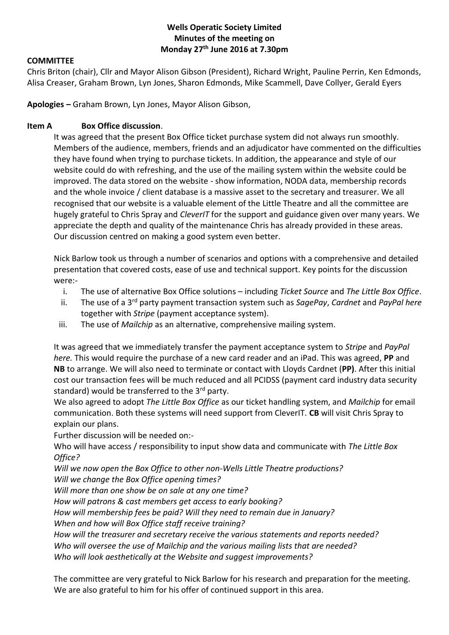### **Wells Operatic Society Limited Minutes of the meeting on Monday 27th June 2016 at 7.30pm**

#### **COMMITTEE**

Chris Briton (chair), Cllr and Mayor Alison Gibson (President), Richard Wright, Pauline Perrin, Ken Edmonds, Alisa Creaser, Graham Brown, Lyn Jones, Sharon Edmonds, Mike Scammell, Dave Collyer, Gerald Eyers

**Apologies –** Graham Brown, Lyn Jones, Mayor Alison Gibson,

#### **Item A Box Office discussion**.

It was agreed that the present Box Office ticket purchase system did not always run smoothly. Members of the audience, members, friends and an adjudicator have commented on the difficulties they have found when trying to purchase tickets. In addition, the appearance and style of our website could do with refreshing, and the use of the mailing system within the website could be improved. The data stored on the website - show information, NODA data, membership records and the whole invoice / client database is a massive asset to the secretary and treasurer. We all recognised that our website is a valuable element of the Little Theatre and all the committee are hugely grateful to Chris Spray and *CleverIT* for the support and guidance given over many years. We appreciate the depth and quality of the maintenance Chris has already provided in these areas. Our discussion centred on making a good system even better.

Nick Barlow took us through a number of scenarios and options with a comprehensive and detailed presentation that covered costs, ease of use and technical support. Key points for the discussion were:-

- i. The use of alternative Box Office solutions including *Ticket Source* and *The Little Box Office*.
- ii. The use of a 3rd party payment transaction system such as *SagePay*, *Cardnet* and *PayPal here*  together with *Stripe* (payment acceptance system).
- iii. The use of *Mailchip* as an alternative, comprehensive mailing system.

It was agreed that we immediately transfer the payment acceptance system to *Stripe* and *PayPal here.* This would require the purchase of a new card reader and an iPad. This was agreed, **PP** and **NB** to arrange. We will also need to terminate or contact with Lloyds Cardnet (**PP)**. After this initial cost our transaction fees will be much reduced and all PCIDSS (payment card industry data security standard) would be transferred to the  $3<sup>rd</sup>$  party.

We also agreed to adopt *The Little Box Office* as our ticket handling system, and *Mailchip* for email communication. Both these systems will need support from CleverIT. **CB** will visit Chris Spray to explain our plans.

Further discussion will be needed on:-

Who will have access / responsibility to input show data and communicate with *The Little Box Office?*

*Will we now open the Box Office to other non-Wells Little Theatre productions?*

*Will we change the Box Office opening times?*

*Will more than one show be on sale at any one time?*

*How will patrons & cast members get access to early booking?*

*How will membership fees be paid? Will they need to remain due in January?*

*When and how will Box Office staff receive training?*

*How will the treasurer and secretary receive the various statements and reports needed?*

*Who will oversee the use of Mailchip and the various mailing lists that are needed?*

*Who will look aesthetically at the Website and suggest improvements?*

The committee are very grateful to Nick Barlow for his research and preparation for the meeting. We are also grateful to him for his offer of continued support in this area.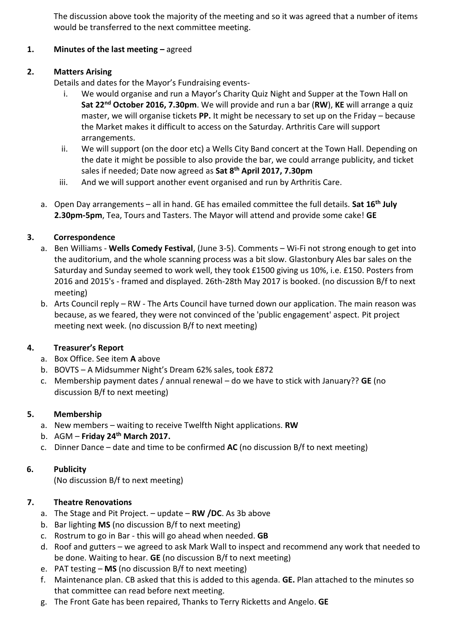The discussion above took the majority of the meeting and so it was agreed that a number of items would be transferred to the next committee meeting.

# **1. Minutes of the last meeting –** agreed

# **2. Matters Arising**

Details and dates for the Mayor's Fundraising events-

- i. We would organise and run a Mayor's Charity Quiz Night and Supper at the Town Hall on **Sat 22nd October 2016, 7.30pm**. We will provide and run a bar (**RW**), **KE** will arrange a quiz master, we will organise tickets **PP.** It might be necessary to set up on the Friday – because the Market makes it difficult to access on the Saturday. Arthritis Care will support arrangements.
- ii. We will support (on the door etc) a Wells City Band concert at the Town Hall. Depending on the date it might be possible to also provide the bar, we could arrange publicity, and ticket sales if needed; Date now agreed as **Sat 8th April 2017, 7.30pm**
- iii. And we will support another event organised and run by Arthritis Care.
- a. Open Day arrangements all in hand. GE has emailed committee the full details. **Sat 16th July 2.30pm-5pm**, Tea, Tours and Tasters. The Mayor will attend and provide some cake! **GE**

# **3. Correspondence**

- a. Ben Williams **Wells Comedy Festival**, (June 3-5). Comments Wi-Fi not strong enough to get into the auditorium, and the whole scanning process was a bit slow. Glastonbury Ales bar sales on the Saturday and Sunday seemed to work well, they took £1500 giving us 10%, i.e. £150. Posters from 2016 and 2015's - framed and displayed. 26th-28th May 2017 is booked. (no discussion B/f to next meeting)
- b. Arts Council reply RW The Arts Council have turned down our application. The main reason was because, as we feared, they were not convinced of the 'public engagement' aspect. Pit project meeting next week. (no discussion B/f to next meeting)

# **4. Treasurer's Report**

- a. Box Office. See item **A** above
- b. BOVTS A Midsummer Night's Dream 62% sales, took £872
- c. Membership payment dates / annual renewal do we have to stick with January?? **GE** (no discussion B/f to next meeting)

### **5. Membership**

- a. New members waiting to receive Twelfth Night applications. **RW**
- b. AGM **Friday 24th March 2017.**
- c. Dinner Dance date and time to be confirmed **AC** (no discussion B/f to next meeting)

### **6. Publicity**

(No discussion B/f to next meeting)

# **7. Theatre Renovations**

- a. The Stage and Pit Project. update **RW /DC**. As 3b above
- b. Bar lighting **MS** (no discussion B/f to next meeting)
- c. Rostrum to go in Bar this will go ahead when needed. **GB**
- d. Roof and gutters we agreed to ask Mark Wall to inspect and recommend any work that needed to be done. Waiting to hear. **GE** (no discussion B/f to next meeting)
- e. PAT testing **MS** (no discussion B/f to next meeting)
- f. Maintenance plan. CB asked that this is added to this agenda. **GE.** Plan attached to the minutes so that committee can read before next meeting.
- g. The Front Gate has been repaired, Thanks to Terry Ricketts and Angelo. **GE**